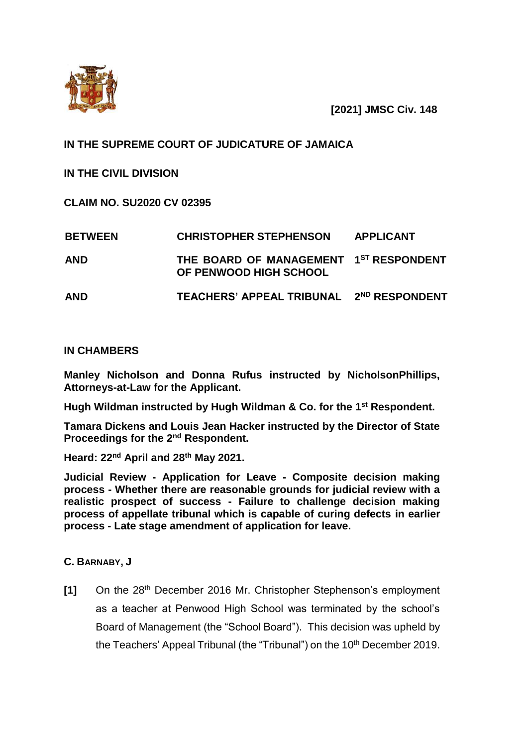

 **[2021] JMSC Civ. 148** 

## **IN THE SUPREME COURT OF JUDICATURE OF JAMAICA**

**IN THE CIVIL DIVISION**

**CLAIM NO. SU2020 CV 02395**

| <b>BETWEEN</b> | <b>CHRISTOPHER STEPHENSON</b>                                    | <b>APPLICANT</b> |
|----------------|------------------------------------------------------------------|------------------|
| <b>AND</b>     | THE BOARD OF MANAGEMENT 1ST RESPONDENT<br>OF PENWOOD HIGH SCHOOL |                  |
| <b>AND</b>     | TEACHERS' APPEAL TRIBUNAL 2ND RESPONDENT                         |                  |

## **IN CHAMBERS**

**Manley Nicholson and Donna Rufus instructed by NicholsonPhillips, Attorneys-at-Law for the Applicant.**

**Hugh Wildman instructed by Hugh Wildman & Co. for the 1st Respondent.**

**Tamara Dickens and Louis Jean Hacker instructed by the Director of State Proceedings for the 2nd Respondent.** 

**Heard: 22nd April and 28th May 2021.**

**Judicial Review - Application for Leave - Composite decision making process - Whether there are reasonable grounds for judicial review with a realistic prospect of success - Failure to challenge decision making process of appellate tribunal which is capable of curing defects in earlier process - Late stage amendment of application for leave.** 

## **C. BARNABY, J**

**[1]** On the 28th December 2016 Mr. Christopher Stephenson's employment as a teacher at Penwood High School was terminated by the school's Board of Management (the "School Board"). This decision was upheld by the Teachers' Appeal Tribunal (the "Tribunal") on the 10<sup>th</sup> December 2019.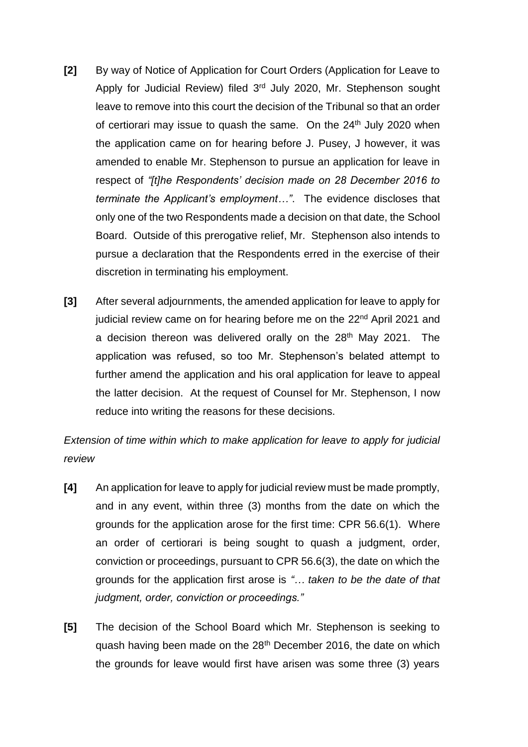- **[2]** By way of Notice of Application for Court Orders (Application for Leave to Apply for Judicial Review) filed 3<sup>rd</sup> July 2020, Mr. Stephenson sought leave to remove into this court the decision of the Tribunal so that an order of certiorari may issue to quash the same. On the 24<sup>th</sup> July 2020 when the application came on for hearing before J. Pusey, J however, it was amended to enable Mr. Stephenson to pursue an application for leave in respect of *"[t]he Respondents' decision made on 28 December 2016 to terminate the Applicant's employment…"*. The evidence discloses that only one of the two Respondents made a decision on that date, the School Board. Outside of this prerogative relief, Mr. Stephenson also intends to pursue a declaration that the Respondents erred in the exercise of their discretion in terminating his employment.
- **[3]** After several adjournments, the amended application for leave to apply for judicial review came on for hearing before me on the 22<sup>nd</sup> April 2021 and a decision thereon was delivered orally on the 28<sup>th</sup> May 2021. The application was refused, so too Mr. Stephenson's belated attempt to further amend the application and his oral application for leave to appeal the latter decision. At the request of Counsel for Mr. Stephenson, I now reduce into writing the reasons for these decisions.

*Extension of time within which to make application for leave to apply for judicial review*

- **[4]** An application for leave to apply for judicial review must be made promptly, and in any event, within three (3) months from the date on which the grounds for the application arose for the first time: CPR 56.6(1). Where an order of certiorari is being sought to quash a judgment, order, conviction or proceedings, pursuant to CPR 56.6(3), the date on which the grounds for the application first arose is *"… taken to be the date of that judgment, order, conviction or proceedings."*
- **[5]** The decision of the School Board which Mr. Stephenson is seeking to quash having been made on the 28<sup>th</sup> December 2016, the date on which the grounds for leave would first have arisen was some three (3) years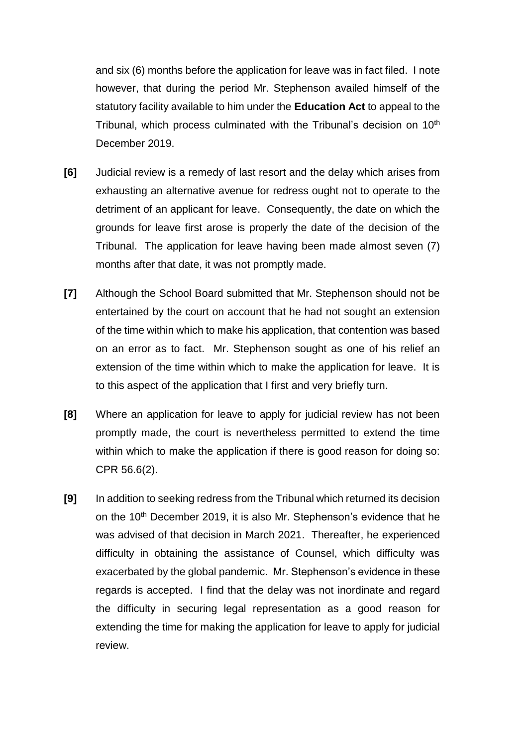and six (6) months before the application for leave was in fact filed. I note however, that during the period Mr. Stephenson availed himself of the statutory facility available to him under the **Education Act** to appeal to the Tribunal, which process culminated with the Tribunal's decision on 10th December 2019.

- **[6]** Judicial review is a remedy of last resort and the delay which arises from exhausting an alternative avenue for redress ought not to operate to the detriment of an applicant for leave. Consequently, the date on which the grounds for leave first arose is properly the date of the decision of the Tribunal. The application for leave having been made almost seven (7) months after that date, it was not promptly made.
- **[7]** Although the School Board submitted that Mr. Stephenson should not be entertained by the court on account that he had not sought an extension of the time within which to make his application, that contention was based on an error as to fact. Mr. Stephenson sought as one of his relief an extension of the time within which to make the application for leave. It is to this aspect of the application that I first and very briefly turn.
- **[8]** Where an application for leave to apply for judicial review has not been promptly made, the court is nevertheless permitted to extend the time within which to make the application if there is good reason for doing so: CPR 56.6(2).
- **[9]** In addition to seeking redress from the Tribunal which returned its decision on the 10<sup>th</sup> December 2019, it is also Mr. Stephenson's evidence that he was advised of that decision in March 2021. Thereafter, he experienced difficulty in obtaining the assistance of Counsel, which difficulty was exacerbated by the global pandemic. Mr. Stephenson's evidence in these regards is accepted. I find that the delay was not inordinate and regard the difficulty in securing legal representation as a good reason for extending the time for making the application for leave to apply for judicial review.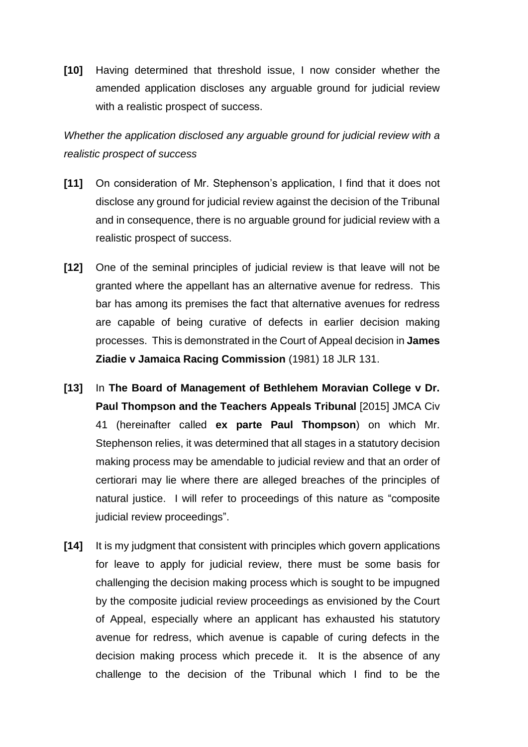**[10]** Having determined that threshold issue, I now consider whether the amended application discloses any arguable ground for judicial review with a realistic prospect of success.

*Whether the application disclosed any arguable ground for judicial review with a realistic prospect of success*

- **[11]** On consideration of Mr. Stephenson's application, I find that it does not disclose any ground for judicial review against the decision of the Tribunal and in consequence, there is no arguable ground for judicial review with a realistic prospect of success.
- **[12]** One of the seminal principles of judicial review is that leave will not be granted where the appellant has an alternative avenue for redress. This bar has among its premises the fact that alternative avenues for redress are capable of being curative of defects in earlier decision making processes. This is demonstrated in the Court of Appeal decision in **James Ziadie v Jamaica Racing Commission** (1981) 18 JLR 131.
- **[13]** In **The Board of Management of Bethlehem Moravian College v Dr. Paul Thompson and the Teachers Appeals Tribunal** [2015] JMCA Civ 41 (hereinafter called **ex parte Paul Thompson**) on which Mr. Stephenson relies, it was determined that all stages in a statutory decision making process may be amendable to judicial review and that an order of certiorari may lie where there are alleged breaches of the principles of natural justice. I will refer to proceedings of this nature as "composite judicial review proceedings".
- **[14]** It is my judgment that consistent with principles which govern applications for leave to apply for judicial review, there must be some basis for challenging the decision making process which is sought to be impugned by the composite judicial review proceedings as envisioned by the Court of Appeal, especially where an applicant has exhausted his statutory avenue for redress, which avenue is capable of curing defects in the decision making process which precede it. It is the absence of any challenge to the decision of the Tribunal which I find to be the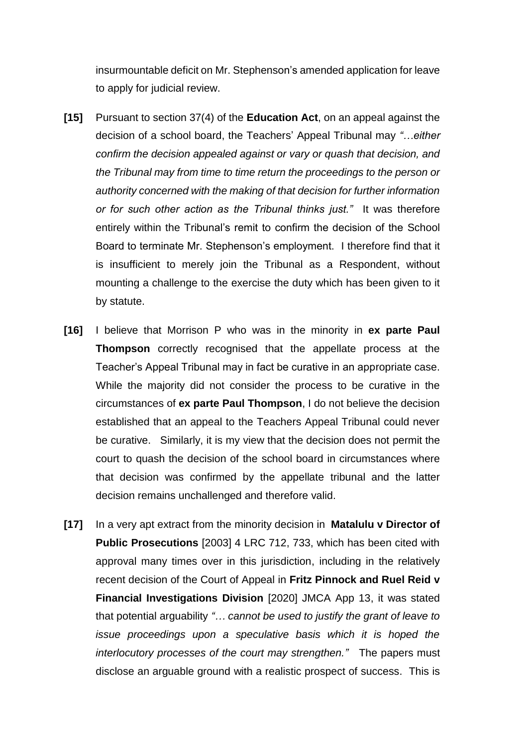insurmountable deficit on Mr. Stephenson's amended application for leave to apply for judicial review.

- **[15]** Pursuant to section 37(4) of the **Education Act**, on an appeal against the decision of a school board, the Teachers' Appeal Tribunal may *"…either confirm the decision appealed against or vary or quash that decision, and the Tribunal may from time to time return the proceedings to the person or authority concerned with the making of that decision for further information or for such other action as the Tribunal thinks just."* It was therefore entirely within the Tribunal's remit to confirm the decision of the School Board to terminate Mr. Stephenson's employment. I therefore find that it is insufficient to merely join the Tribunal as a Respondent, without mounting a challenge to the exercise the duty which has been given to it by statute.
- **[16]** I believe that Morrison P who was in the minority in **ex parte Paul Thompson** correctly recognised that the appellate process at the Teacher's Appeal Tribunal may in fact be curative in an appropriate case. While the majority did not consider the process to be curative in the circumstances of **ex parte Paul Thompson**, I do not believe the decision established that an appeal to the Teachers Appeal Tribunal could never be curative. Similarly, it is my view that the decision does not permit the court to quash the decision of the school board in circumstances where that decision was confirmed by the appellate tribunal and the latter decision remains unchallenged and therefore valid.
- **[17]** In a very apt extract from the minority decision in **Matalulu v Director of Public Prosecutions** [2003] 4 LRC 712, 733, which has been cited with approval many times over in this jurisdiction, including in the relatively recent decision of the Court of Appeal in **Fritz Pinnock and Ruel Reid v Financial Investigations Division** [2020] JMCA App 13, it was stated that potential arguability *"… cannot be used to justify the grant of leave to issue proceedings upon a speculative basis which it is hoped the interlocutory processes of the court may strengthen."* The papers must disclose an arguable ground with a realistic prospect of success. This is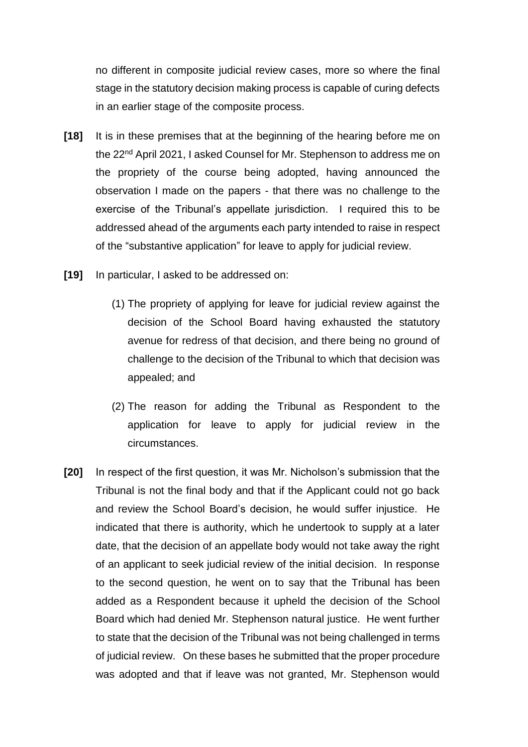no different in composite judicial review cases, more so where the final stage in the statutory decision making process is capable of curing defects in an earlier stage of the composite process.

- **[18]** It is in these premises that at the beginning of the hearing before me on the 22nd April 2021, I asked Counsel for Mr. Stephenson to address me on the propriety of the course being adopted, having announced the observation I made on the papers - that there was no challenge to the exercise of the Tribunal's appellate jurisdiction. I required this to be addressed ahead of the arguments each party intended to raise in respect of the "substantive application" for leave to apply for judicial review.
- **[19]** In particular, I asked to be addressed on:
	- (1) The propriety of applying for leave for judicial review against the decision of the School Board having exhausted the statutory avenue for redress of that decision, and there being no ground of challenge to the decision of the Tribunal to which that decision was appealed; and
	- (2) The reason for adding the Tribunal as Respondent to the application for leave to apply for judicial review in the circumstances.
- **[20]** In respect of the first question, it was Mr. Nicholson's submission that the Tribunal is not the final body and that if the Applicant could not go back and review the School Board's decision, he would suffer injustice. He indicated that there is authority, which he undertook to supply at a later date, that the decision of an appellate body would not take away the right of an applicant to seek judicial review of the initial decision. In response to the second question, he went on to say that the Tribunal has been added as a Respondent because it upheld the decision of the School Board which had denied Mr. Stephenson natural justice. He went further to state that the decision of the Tribunal was not being challenged in terms of judicial review. On these bases he submitted that the proper procedure was adopted and that if leave was not granted, Mr. Stephenson would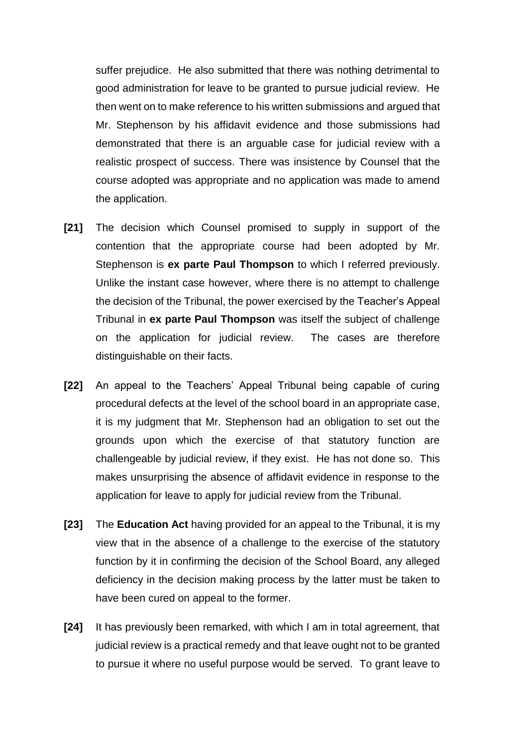suffer prejudice. He also submitted that there was nothing detrimental to good administration for leave to be granted to pursue judicial review. He then went on to make reference to his written submissions and argued that Mr. Stephenson by his affidavit evidence and those submissions had demonstrated that there is an arguable case for judicial review with a realistic prospect of success. There was insistence by Counsel that the course adopted was appropriate and no application was made to amend the application.

- **[21]** The decision which Counsel promised to supply in support of the contention that the appropriate course had been adopted by Mr. Stephenson is **ex parte Paul Thompson** to which I referred previously. Unlike the instant case however, where there is no attempt to challenge the decision of the Tribunal, the power exercised by the Teacher's Appeal Tribunal in **ex parte Paul Thompson** was itself the subject of challenge on the application for judicial review. The cases are therefore distinguishable on their facts.
- **[22]** An appeal to the Teachers' Appeal Tribunal being capable of curing procedural defects at the level of the school board in an appropriate case, it is my judgment that Mr. Stephenson had an obligation to set out the grounds upon which the exercise of that statutory function are challengeable by judicial review, if they exist. He has not done so. This makes unsurprising the absence of affidavit evidence in response to the application for leave to apply for judicial review from the Tribunal.
- **[23]** The **Education Act** having provided for an appeal to the Tribunal, it is my view that in the absence of a challenge to the exercise of the statutory function by it in confirming the decision of the School Board, any alleged deficiency in the decision making process by the latter must be taken to have been cured on appeal to the former.
- **[24]** It has previously been remarked, with which I am in total agreement, that judicial review is a practical remedy and that leave ought not to be granted to pursue it where no useful purpose would be served. To grant leave to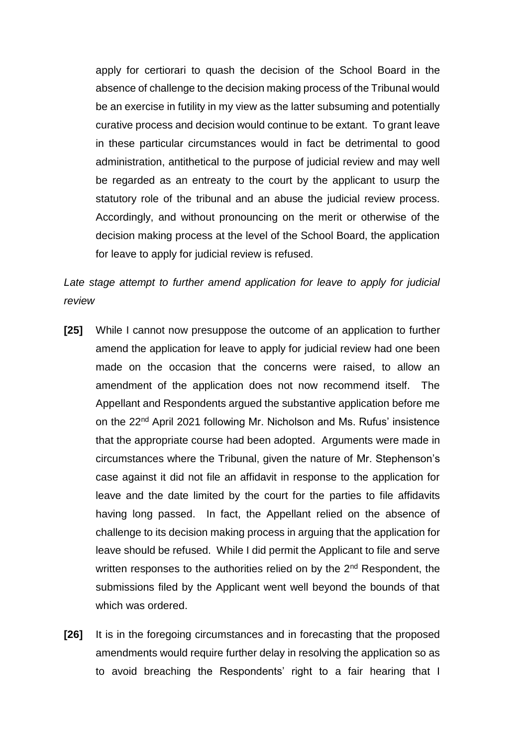apply for certiorari to quash the decision of the School Board in the absence of challenge to the decision making process of the Tribunal would be an exercise in futility in my view as the latter subsuming and potentially curative process and decision would continue to be extant. To grant leave in these particular circumstances would in fact be detrimental to good administration, antithetical to the purpose of judicial review and may well be regarded as an entreaty to the court by the applicant to usurp the statutory role of the tribunal and an abuse the judicial review process. Accordingly, and without pronouncing on the merit or otherwise of the decision making process at the level of the School Board, the application for leave to apply for judicial review is refused.

*Late stage attempt to further amend application for leave to apply for judicial review*

- **[25]** While I cannot now presuppose the outcome of an application to further amend the application for leave to apply for judicial review had one been made on the occasion that the concerns were raised, to allow an amendment of the application does not now recommend itself. The Appellant and Respondents argued the substantive application before me on the 22nd April 2021 following Mr. Nicholson and Ms. Rufus' insistence that the appropriate course had been adopted. Arguments were made in circumstances where the Tribunal, given the nature of Mr. Stephenson's case against it did not file an affidavit in response to the application for leave and the date limited by the court for the parties to file affidavits having long passed. In fact, the Appellant relied on the absence of challenge to its decision making process in arguing that the application for leave should be refused. While I did permit the Applicant to file and serve written responses to the authorities relied on by the 2<sup>nd</sup> Respondent, the submissions filed by the Applicant went well beyond the bounds of that which was ordered.
- **[26]** It is in the foregoing circumstances and in forecasting that the proposed amendments would require further delay in resolving the application so as to avoid breaching the Respondents' right to a fair hearing that I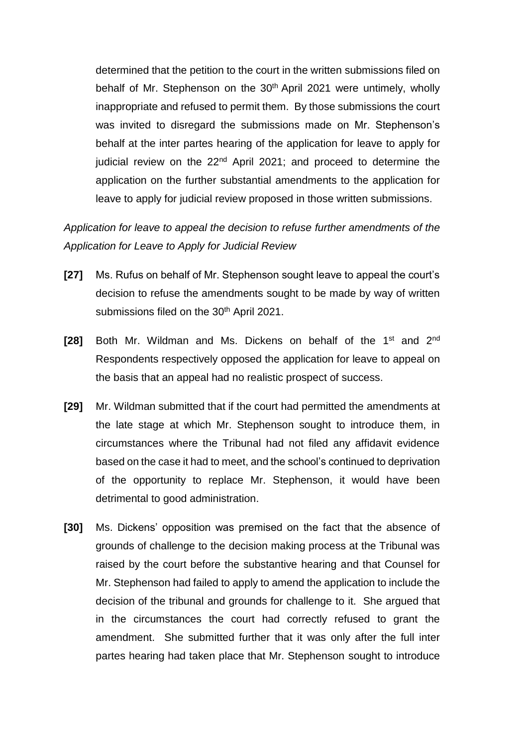determined that the petition to the court in the written submissions filed on behalf of Mr. Stephenson on the 30<sup>th</sup> April 2021 were untimely, wholly inappropriate and refused to permit them. By those submissions the court was invited to disregard the submissions made on Mr. Stephenson's behalf at the inter partes hearing of the application for leave to apply for judicial review on the  $22<sup>nd</sup>$  April 2021; and proceed to determine the application on the further substantial amendments to the application for leave to apply for judicial review proposed in those written submissions.

*Application for leave to appeal the decision to refuse further amendments of the Application for Leave to Apply for Judicial Review* 

- **[27]** Ms. Rufus on behalf of Mr. Stephenson sought leave to appeal the court's decision to refuse the amendments sought to be made by way of written submissions filed on the 30<sup>th</sup> April 2021.
- [28] Both Mr. Wildman and Ms. Dickens on behalf of the 1<sup>st</sup> and 2<sup>nd</sup> Respondents respectively opposed the application for leave to appeal on the basis that an appeal had no realistic prospect of success.
- **[29]** Mr. Wildman submitted that if the court had permitted the amendments at the late stage at which Mr. Stephenson sought to introduce them, in circumstances where the Tribunal had not filed any affidavit evidence based on the case it had to meet, and the school's continued to deprivation of the opportunity to replace Mr. Stephenson, it would have been detrimental to good administration.
- **[30]** Ms. Dickens' opposition was premised on the fact that the absence of grounds of challenge to the decision making process at the Tribunal was raised by the court before the substantive hearing and that Counsel for Mr. Stephenson had failed to apply to amend the application to include the decision of the tribunal and grounds for challenge to it. She argued that in the circumstances the court had correctly refused to grant the amendment. She submitted further that it was only after the full inter partes hearing had taken place that Mr. Stephenson sought to introduce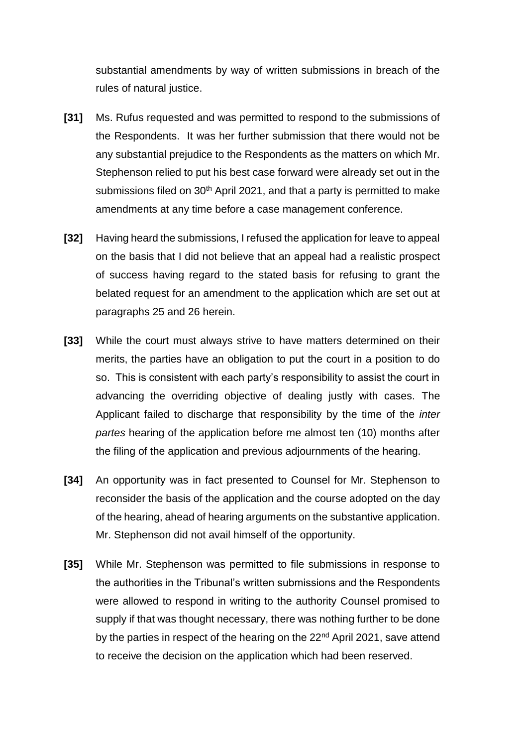substantial amendments by way of written submissions in breach of the rules of natural justice.

- **[31]** Ms. Rufus requested and was permitted to respond to the submissions of the Respondents. It was her further submission that there would not be any substantial prejudice to the Respondents as the matters on which Mr. Stephenson relied to put his best case forward were already set out in the submissions filed on 30<sup>th</sup> April 2021, and that a party is permitted to make amendments at any time before a case management conference.
- **[32]** Having heard the submissions, I refused the application for leave to appeal on the basis that I did not believe that an appeal had a realistic prospect of success having regard to the stated basis for refusing to grant the belated request for an amendment to the application which are set out at paragraphs 25 and 26 herein.
- **[33]** While the court must always strive to have matters determined on their merits, the parties have an obligation to put the court in a position to do so. This is consistent with each party's responsibility to assist the court in advancing the overriding objective of dealing justly with cases. The Applicant failed to discharge that responsibility by the time of the *inter partes* hearing of the application before me almost ten (10) months after the filing of the application and previous adjournments of the hearing.
- **[34]** An opportunity was in fact presented to Counsel for Mr. Stephenson to reconsider the basis of the application and the course adopted on the day of the hearing, ahead of hearing arguments on the substantive application. Mr. Stephenson did not avail himself of the opportunity.
- **[35]** While Mr. Stephenson was permitted to file submissions in response to the authorities in the Tribunal's written submissions and the Respondents were allowed to respond in writing to the authority Counsel promised to supply if that was thought necessary, there was nothing further to be done by the parties in respect of the hearing on the 22<sup>nd</sup> April 2021, save attend to receive the decision on the application which had been reserved.